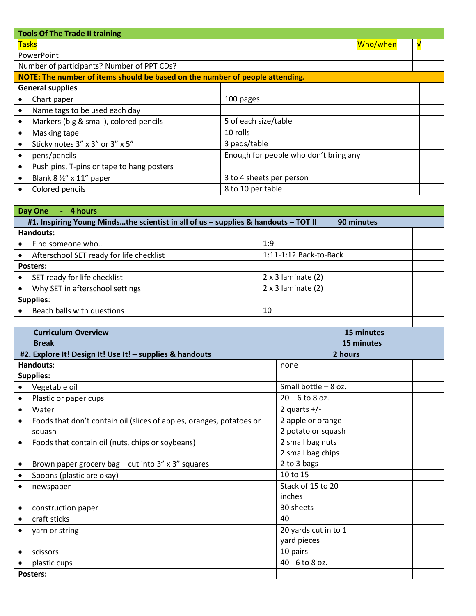| <b>Tools Of The Trade II training</b>                                        |                                           |                                       |          |   |
|------------------------------------------------------------------------------|-------------------------------------------|---------------------------------------|----------|---|
| <b>Tasks</b>                                                                 |                                           |                                       | Who/when | √ |
| PowerPoint                                                                   |                                           |                                       |          |   |
| Number of participants? Number of PPT CDs?                                   |                                           |                                       |          |   |
| NOTE: The number of items should be based on the number of people attending. |                                           |                                       |          |   |
| <b>General supplies</b>                                                      |                                           |                                       |          |   |
|                                                                              | Chart paper                               | 100 pages                             |          |   |
|                                                                              | Name tags to be used each day             |                                       |          |   |
|                                                                              | Markers (big & small), colored pencils    | 5 of each size/table                  |          |   |
|                                                                              | Masking tape                              | 10 rolls                              |          |   |
|                                                                              | Sticky notes 3" x 3" or 3" x 5"           | 3 pads/table                          |          |   |
|                                                                              | pens/pencils                              | Enough for people who don't bring any |          |   |
|                                                                              | Push pins, T-pins or tape to hang posters |                                       |          |   |
|                                                                              | Blank $8\frac{1}{2}$ " x 11" paper        | 3 to 4 sheets per person              |          |   |
|                                                                              | Colored pencils                           | 8 to 10 per table                     |          |   |

| Day One<br>- 4 hours                                                                             |     |                           |            |  |
|--------------------------------------------------------------------------------------------------|-----|---------------------------|------------|--|
| #1. Inspiring Young Mindsthe scientist in all of us - supplies & handouts - TOT II<br>90 minutes |     |                           |            |  |
| <b>Handouts:</b>                                                                                 |     |                           |            |  |
| Find someone who<br>$\bullet$                                                                    | 1:9 |                           |            |  |
| Afterschool SET ready for life checklist<br>$\bullet$                                            |     | 1:11-1:12 Back-to-Back    |            |  |
| <b>Posters:</b>                                                                                  |     |                           |            |  |
| SET ready for life checklist<br>$\bullet$                                                        |     | $2 \times 3$ laminate (2) |            |  |
| Why SET in afterschool settings<br>$\bullet$                                                     |     | $2 \times 3$ laminate (2) |            |  |
| <b>Supplies:</b>                                                                                 |     |                           |            |  |
| Beach balls with questions                                                                       | 10  |                           |            |  |
|                                                                                                  |     |                           |            |  |
| <b>Curriculum Overview</b>                                                                       |     |                           | 15 minutes |  |
| <b>Break</b>                                                                                     |     |                           | 15 minutes |  |
| #2. Explore It! Design It! Use It! - supplies & handouts                                         |     | 2 hours                   |            |  |
| Handouts:                                                                                        |     | none                      |            |  |
| <b>Supplies:</b>                                                                                 |     |                           |            |  |
| Vegetable oil<br>$\bullet$                                                                       |     | Small bottle $-8$ oz.     |            |  |
| Plastic or paper cups<br>$\bullet$                                                               |     | $20 - 6$ to 8 oz.         |            |  |
| Water<br>$\bullet$                                                                               |     | 2 quarts $+/-$            |            |  |
| Foods that don't contain oil (slices of apples, oranges, potatoes or<br>$\bullet$                |     | 2 apple or orange         |            |  |
| squash                                                                                           |     | 2 potato or squash        |            |  |
| Foods that contain oil (nuts, chips or soybeans)<br>$\bullet$                                    |     | 2 small bag nuts          |            |  |
|                                                                                                  |     | 2 small bag chips         |            |  |
| Brown paper grocery bag - cut into 3" x 3" squares<br>$\bullet$                                  |     | 2 to 3 bags               |            |  |
| Spoons (plastic are okay)<br>$\bullet$                                                           |     | 10 to 15                  |            |  |
| newspaper<br>$\bullet$                                                                           |     | Stack of 15 to 20         |            |  |
|                                                                                                  |     | inches                    |            |  |
| construction paper<br>$\bullet$                                                                  |     | 30 sheets                 |            |  |
| craft sticks<br>$\bullet$                                                                        |     | 40                        |            |  |
| yarn or string<br>$\bullet$                                                                      |     | 20 yards cut in to 1      |            |  |
|                                                                                                  |     | yard pieces               |            |  |
| scissors<br>$\bullet$                                                                            |     | 10 pairs                  |            |  |
| plastic cups<br>$\bullet$                                                                        |     | 40 - 6 to 8 oz.           |            |  |
| <b>Posters:</b>                                                                                  |     |                           |            |  |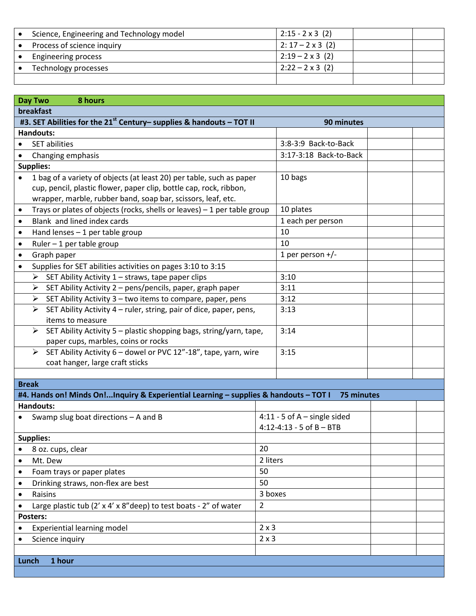| Science, Engineering and Technology model | $2:15 - 2 \times 3$ (2)  |  |
|-------------------------------------------|--------------------------|--|
| Process of science inquiry                | $2: 17 - 2 \times 3$ (2) |  |
| <b>Engineering process</b>                | $2:19 - 2 \times 3$ (2)  |  |
| Technology processes                      | $2:22 - 2 \times 3$ (2)  |  |
|                                           |                          |  |

| <b>Day Two</b><br>8 hours                                                                          |                                |  |  |
|----------------------------------------------------------------------------------------------------|--------------------------------|--|--|
| breakfast                                                                                          |                                |  |  |
| #3. SET Abilities for the 21 <sup>st</sup> Century- supplies & handouts - TOT II                   | 90 minutes                     |  |  |
| <b>Handouts:</b>                                                                                   |                                |  |  |
| <b>SET abilities</b><br>$\bullet$                                                                  | 3:8-3:9 Back-to-Back           |  |  |
| Changing emphasis<br>$\bullet$                                                                     | 3:17-3:18 Back-to-Back         |  |  |
| Supplies:                                                                                          |                                |  |  |
| 1 bag of a variety of objects (at least 20) per table, such as paper<br>$\bullet$                  | 10 bags                        |  |  |
| cup, pencil, plastic flower, paper clip, bottle cap, rock, ribbon,                                 |                                |  |  |
| wrapper, marble, rubber band, soap bar, scissors, leaf, etc.                                       |                                |  |  |
| Trays or plates of objects (rocks, shells or leaves) $-1$ per table group<br>$\bullet$             | 10 plates                      |  |  |
| Blank and lined index cards<br>$\bullet$                                                           | 1 each per person              |  |  |
| Hand lenses $-1$ per table group<br>$\bullet$                                                      | 10                             |  |  |
| Ruler $-1$ per table group<br>$\bullet$                                                            | 10                             |  |  |
| Graph paper<br>$\bullet$                                                                           | 1 per person $+/-$             |  |  |
| Supplies for SET abilities activities on pages 3:10 to 3:15<br>$\bullet$                           |                                |  |  |
| SET Ability Activity 1 - straws, tape paper clips<br>➤                                             | 3:10                           |  |  |
| SET Ability Activity 2 - pens/pencils, paper, graph paper<br>➤                                     | 3:11                           |  |  |
| $\triangleright$ SET Ability Activity 3 – two items to compare, paper, pens                        | 3:12                           |  |  |
| SET Ability Activity 4 - ruler, string, pair of dice, paper, pens,<br>$\blacktriangleright$        | 3:13                           |  |  |
| items to measure                                                                                   |                                |  |  |
| SET Ability Activity 5 - plastic shopping bags, string/yarn, tape,<br>➤                            | 3:14                           |  |  |
| paper cups, marbles, coins or rocks                                                                |                                |  |  |
| SET Ability Activity 6 - dowel or PVC 12"-18", tape, yarn, wire<br>➤                               | 3:15                           |  |  |
| coat hanger, large craft sticks                                                                    |                                |  |  |
|                                                                                                    |                                |  |  |
| <b>Break</b>                                                                                       |                                |  |  |
| #4. Hands on! Minds On!Inquiry & Experiential Learning - supplies & handouts - TOT I<br>75 minutes |                                |  |  |
| <b>Handouts:</b>                                                                                   | $4:11 - 5$ of A - single sided |  |  |
| Swamp slug boat directions $-$ A and B                                                             | $4:12 - 4:13 - 5$ of $B - BTB$ |  |  |
| <b>Supplies:</b>                                                                                   |                                |  |  |
| 8 oz. cups, clear                                                                                  | 20                             |  |  |
| Mt. Dew                                                                                            | 2 liters                       |  |  |
| Foam trays or paper plates<br>$\bullet$                                                            | 50                             |  |  |
| Drinking straws, non-flex are best<br>$\bullet$                                                    | 50                             |  |  |
| Raisins<br>$\bullet$                                                                               | 3 boxes                        |  |  |
| Large plastic tub (2' x 4' x 8" deep) to test boats - 2" of water                                  | $\overline{2}$                 |  |  |
| <b>Posters:</b>                                                                                    |                                |  |  |
| $2 \times 3$<br><b>Experiential learning model</b>                                                 |                                |  |  |
| Science inquiry                                                                                    | $2 \times 3$                   |  |  |
|                                                                                                    |                                |  |  |
| 1 hour<br>Lunch                                                                                    |                                |  |  |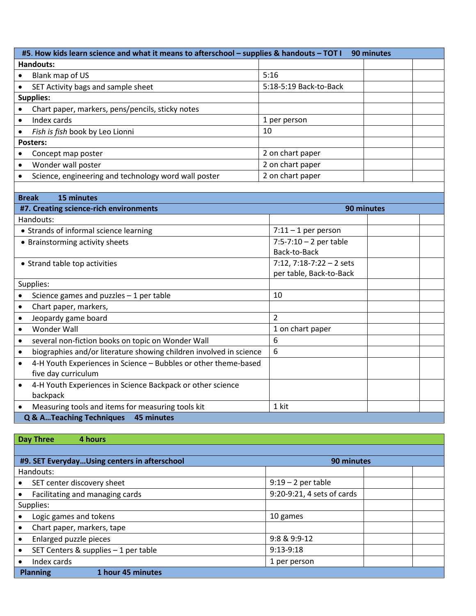| #5. How kids learn science and what it means to afterschool - supplies & handouts - TOT I<br>90 minutes |                                                      |                        |  |  |
|---------------------------------------------------------------------------------------------------------|------------------------------------------------------|------------------------|--|--|
| Handouts:                                                                                               |                                                      |                        |  |  |
| $\bullet$                                                                                               | Blank map of US                                      | 5:16                   |  |  |
| $\bullet$                                                                                               | SET Activity bags and sample sheet                   | 5:18-5:19 Back-to-Back |  |  |
| <b>Supplies:</b>                                                                                        |                                                      |                        |  |  |
| $\bullet$                                                                                               | Chart paper, markers, pens/pencils, sticky notes     |                        |  |  |
| $\bullet$                                                                                               | Index cards                                          | 1 per person           |  |  |
| $\bullet$                                                                                               | Fish is fish book by Leo Lionni                      | 10                     |  |  |
| Posters:                                                                                                |                                                      |                        |  |  |
|                                                                                                         | Concept map poster                                   | 2 on chart paper       |  |  |
| $\bullet$                                                                                               | Wonder wall poster                                   | 2 on chart paper       |  |  |
| $\bullet$                                                                                               | Science, engineering and technology word wall poster | 2 on chart paper       |  |  |
|                                                                                                         |                                                      |                        |  |  |

| <b>Break</b><br>15 minutes                                                   |                             |
|------------------------------------------------------------------------------|-----------------------------|
| #7. Creating science-rich environments                                       | 90 minutes                  |
| Handouts:                                                                    |                             |
| • Strands of informal science learning                                       | $7:11 - 1$ per person       |
| • Brainstorming activity sheets                                              | $7:5 - 7:10 - 2$ per table  |
|                                                                              | Back-to-Back                |
| • Strand table top activities                                                | $7:12$ , $7:18-7:22-2$ sets |
|                                                                              | per table, Back-to-Back     |
| Supplies:                                                                    |                             |
| Science games and puzzles $-1$ per table                                     | 10                          |
| Chart paper, markers,                                                        |                             |
| Jeopardy game board<br>$\bullet$                                             | 2                           |
| <b>Wonder Wall</b>                                                           | 1 on chart paper            |
| several non-fiction books on topic on Wonder Wall                            | 6                           |
| biographies and/or literature showing children involved in science<br>٠      | 6                           |
| 4-H Youth Experiences in Science - Bubbles or other theme-based<br>$\bullet$ |                             |
| five day curriculum                                                          |                             |
| 4-H Youth Experiences in Science Backpack or other science<br>$\bullet$      |                             |
| backpack                                                                     |                             |
| Measuring tools and items for measuring tools kit<br>$\bullet$               | 1 kit                       |
| Q & ATeaching Techniques<br>45 minutes                                       |                             |

| <b>Day Three</b><br>4 hours                                |                            |  |
|------------------------------------------------------------|----------------------------|--|
|                                                            |                            |  |
| #9. SET EverydayUsing centers in afterschool<br>90 minutes |                            |  |
| Handouts:                                                  |                            |  |
| SET center discovery sheet                                 | $9:19-2$ per table         |  |
| Facilitating and managing cards                            | 9:20-9:21, 4 sets of cards |  |
| Supplies:                                                  |                            |  |
| Logic games and tokens                                     | 10 games                   |  |
| Chart paper, markers, tape                                 |                            |  |
| Enlarged puzzle pieces                                     | 9:8 & 9:9-12               |  |
| SET Centers & supplies - 1 per table                       | $9:13-9:18$                |  |
| Index cards                                                | 1 per person               |  |
| 1 hour 45 minutes<br><b>Planning</b>                       |                            |  |